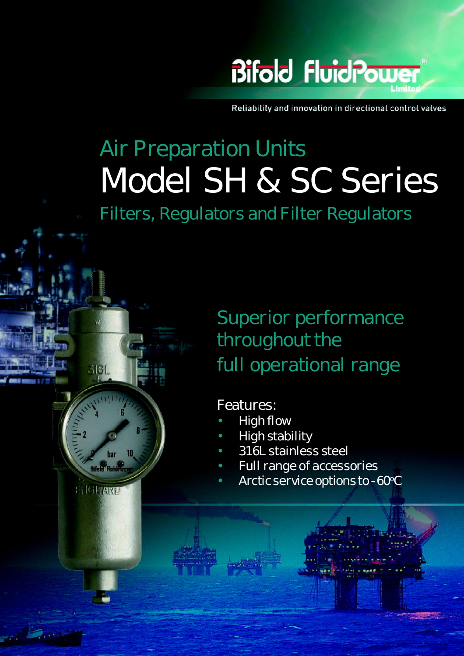

Reliability and innovation in directional control valves

# Air Preparation Units Model SH & SC Series

Filters, Regulators and Filter Regulators

## Superior performance throughout the full operational range

## Features:

1

Model SC & SH Series March 2011

Bifold Fluidpower Ltd

Greenside Way, Middleton, Manchester, UK. tel:- +44(0)161 345 4777 fax:- +44(0)161 345 4780

361

har **Bifatd** Flutdra

**ENGLIZEINE** 

- High flow
- High stability
- 316L stainless steel
- Full range of accessories
- Arctic service options to -60°C

Marshalsea House, Venture Way, Priorswood Ind Est, Taunton, UK.

tel:- +44(0)1823 331081 fax:- +44(0)1823 331081 fax:- +44(0)1823 323382 [info@marshalsea.co.uk](mailto:info@marshalsea.co.uk) [www.marshalsea.co.uk](http://www.marshalsea.co.uk) www.marshalsea.co.uk www.marshalsea.co.uk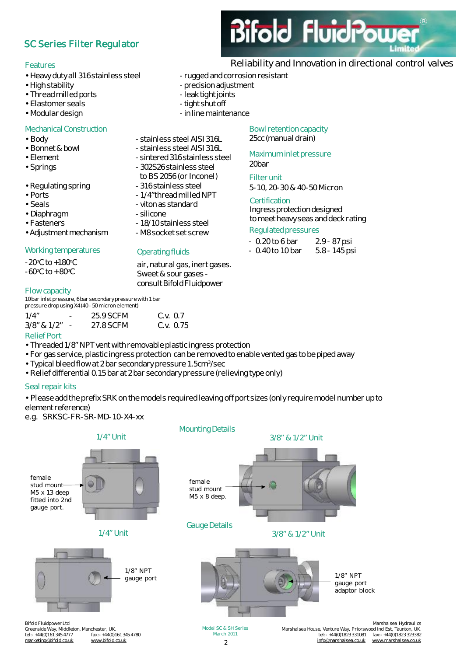## SC Series Filter Regulator

#### Features

- Heavy duty all 316 stainless steel rugged and corrosion resistant
- 
- Thread milled ports leaktight joints
- Elastomer seals tight shut off
- 

#### **Mechanical Construction**

- Body extended to the stainless steel AISI 316L
- Bonnet & bowl stainless steel AISI 316L
- Element Flement sintered 316 stainless steel
- Springs 302S26 stainless steel
- Regulating spring external state of 316 stainless steel
- 
- 
- Diaphragm extended by the silicone
- Fasteners 18/10 stainless steel
- Adjustment mechanism M8 socket set screw

#### Working temperatures

 $-20^{\circ}$ C to  $+180^{\circ}$ C  $-60^{\circ}$ C to  $+80^{\circ}$ C

#### Flow capacity

10bar inlet pressure, 6bar secondary pressure with 1bar pressure drop using X4(40 - 50 micron element)

| 1/4"                                | $\overline{\phantom{0}}$ | 25.9 SCFM | C.v. 0.7  |
|-------------------------------------|--------------------------|-----------|-----------|
| $3/8$ " & $1/2$ "                   |                          | 27.8 SCFM | C.v. 0.75 |
| $D \times U \times C \times \cdots$ |                          |           |           |

#### Relief Port

- Threaded 1/8" NPT vent with removable plastic ingress protection
- For gas service, plastic ingress protection can be removedto enable vented gas to be piped away
- Typical bleed flow at 2 bar secondary pressure 1.5cm<sup>3</sup>/sec
- Relief differential 0.15 bar at 2 bar secondary pressure (relieving type only)

#### Seal repair kits

• Please add the prefix SRK on the models required leaving off port sizes (only require model number up to element reference)

e.g. SRKSC-FR-SR-MD-10-X4-xx



## Reliability and Innovation in directional control valves

**Bifold FluidPow** 

R

- 
- High stability  **Direct Stability** precision adjustment
	-
	-
- Modular design extended the maintenance of the maintenance

Bowl retention capacity 25cc (manual drain)

#### Maximum inlet pressure

## 20bar

**Filterunit** 5-10, 20-30 & 40-50 Micron

#### **Certification**

Ingressprotection designed to meet heavy seas and deck rating

## Regulated pressures

| $-0.20$ to 6 bar  | 2.9 - 87 psi  |
|-------------------|---------------|
| $-0.40$ to 10 bar | 5.8 - 145 psi |

- Ports 1/4"thread milled NPT • Seals **Called** - viton as standard
	-

to BS 2056 (or Inconel)

air, natural gas, inert gases. Sweet & sour gases consult Bifold Fluidpower

Operating fluids

 $\overline{2}$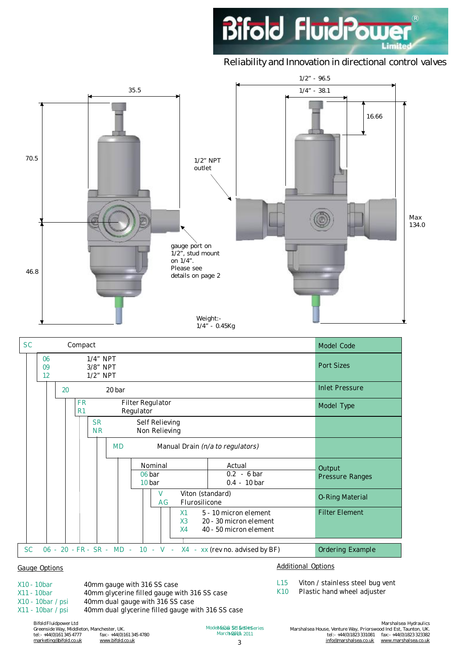

## Reliability and Innovation in directional control valves



| υc        |                |    | Compact                                       |                                        |        |                                 |                |                                                                           |  | <b>INIQUEL COUP</b>       |
|-----------|----------------|----|-----------------------------------------------|----------------------------------------|--------|---------------------------------|----------------|---------------------------------------------------------------------------|--|---------------------------|
|           | 06<br>09<br>12 |    |                                               | $1/4$ " NPT<br>3/8" NPT<br>$1/2$ " NPT |        |                                 |                |                                                                           |  | <b>Port Sizes</b>         |
|           |                | 20 |                                               |                                        | 20 bar |                                 |                |                                                                           |  | <b>Inlet Pressure</b>     |
|           |                |    | <b>FR</b><br>R <sub>1</sub>                   |                                        |        | Filter Regulator<br>Regulator   |                |                                                                           |  | Model Type                |
|           |                |    |                                               | <b>SR</b><br><b>NR</b>                 |        | Self Relieving<br>Non Relieving |                |                                                                           |  |                           |
|           |                |    | <b>MD</b><br>Manual Drain (n/a to regulators) |                                        |        |                                 |                |                                                                           |  |                           |
|           |                |    |                                               |                                        |        | Nominal<br>06 bar<br>10 bar     |                | Actual<br>$0.2 - 6 \,\text{bar}$<br>$0.4 - 10 \,\text{bar}$               |  | Output<br>Pressure Ranges |
|           |                |    | Viton (standard)<br>V<br>Flurosilicone<br>AG  |                                        |        |                                 |                | <b>O-Ring Material</b>                                                    |  |                           |
|           |                |    |                                               |                                        |        |                                 | X1<br>X3<br>X4 | 5 - 10 micron element<br>20 - 30 micron element<br>40 - 50 micron element |  | <b>Filter Element</b>     |
| <b>SC</b> |                |    |                                               |                                        |        |                                 |                | 06 - 20 - FR - SR - MD - 10 - V - X4 - xx (rev no. advised by BF)         |  | Ordering Example          |

#### Gauge Options

X10 - 10bar 40mm gauge with 316 SS case X11 - 10bar 40mm glycerine filled gauge with 316 SS case X10 - 10bar / psi 40mm dual gauge with 316 SS case X11 - 10bar / psi 40mm dual glycerine filled gauge with 316 SS case Additional Options

- L15 Viton / stainless steel bug vent
- K10 Plastic hand wheel adjuster

Bifold Fluidpower Ltd Greenside Way, Middleton, Manchester, UK. tel:- +44(0)161 345 4777 fax:- +44(0)161 345 4780 [marketing@bifold.co.uk](mailto:marketing@bifold.co.uk) [www.bifold.co.uk](http://www.bifold.co.uk)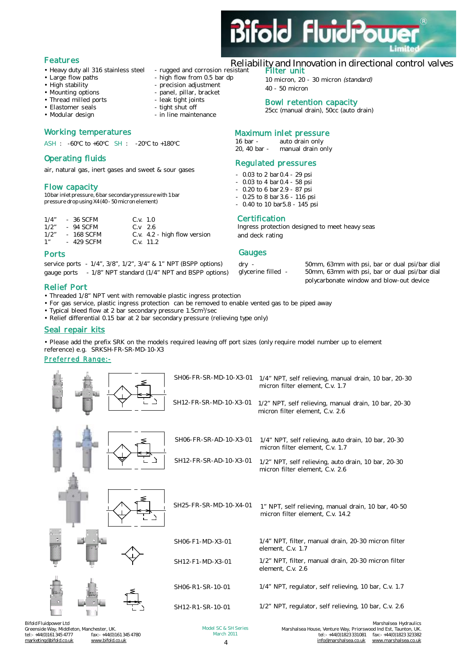

### Features

- Heavy duty all 316 stainless steel rugged and corrosion resistant
- Large flow paths high flow from 0.5 bar dp
- 
- High stability precision adjustment<br>• Mounting options panel, pillar, bracket
- Thread milled ports leak tight joints<br>• Elastomer seals tight shut off
- Elastomer seals<br>• Modular design
- 

#### Working temperatures

ASH : -60<sup>o</sup>C to +60<sup>o</sup>C SH : -20<sup>o</sup>C to +180<sup>o</sup>C

#### Operating fluids

air, natural gas, inert gases and sweet & sour gases

#### Flow capacity

10bar inlet pressure, 6bar secondary pressure with 1bar pressure drop using X4(40 - 50 micron element)

| $1/4$ "         | - 36 SCFM  | C.v. 1.0 |                              |
|-----------------|------------|----------|------------------------------|
| 1/2"            | - 94 SCFM  | C.V.26   |                              |
| 1/2"            | - 168 SCFM |          | C.v. 4.2 - high flow version |
| 1 <sup>''</sup> | - 429 SCFM |          | $C_v$ , 11.2                 |

#### Ports

service ports - 1/4", 3/8", 1/2", 3/4" & 1" NPT (BSPP options) gauge ports - 1/8" NPT standard (1/4" NPT and BSPP options)

#### Relief Port

- Threaded 1/8" NPT vent with removable plastic ingress protection
- For gas service, plastic ingress protection can be removed to enable vented gas to be piped away

- panel, pillar, bracket

- in line maintenance

- Typical bleed flow at 2 bar secondary pressure 1.5cm<sup>3</sup>/sec
- Relief differential 0.15 bar at 2 bar secondary pressure (relieving type only)

#### Seal repair kits

• Please add the prefix SRK on the models required leaving off port sizes (only require model number up to element reference) e.g. SRKSH-FR-SR-MD-10-X3

#### Preferred Range:-



## Reliability and Innovation in directional control valves

#### Filter unit

10 micron, 20 - 30 micron *(standard)* 40 - 50 micron

#### Bowl retention capacity

25cc (manual drain), 50cc (auto drain)

#### Maximum inlet pressure

| 16 bar -     | auto drain only   |
|--------------|-------------------|
| 20, 40 bar - | manual drain only |

#### Regulated pressures

- 0.03 to 2 bar 0.4 29 psi
- $-0.03$  to 4 bar 0.4  $-58$  psi
- 0.20 to 6 bar 2.9 87 psi
- 0.25 to 8 bar 3.6 116 psi
- 0.40 to 10 bar5.8 145 psi

#### **Certification**

Ingress protection designed to meet heavy seas and deck rating

#### Gauges

dry - 50mm, 63mm with psi, bar or dual psi/bar dial glycerine filled - 50mm, 63mm with psi, bar or dual psi/bar dial 50mm, 63mm with psi, bar or dual psi/bar dial polycarbonate window and blow-out device

tel:- +44(0)1823 331081 fax:- +44(0)1823 323382<br>thel:- +44(0)1823 331081 fax:- +44(0)1823 323382<br>the fo@marshalsea.co.uk www.marshalsea.co.uk

[www.marshalsea.co.uk](http://www.marshalsea.co.uk)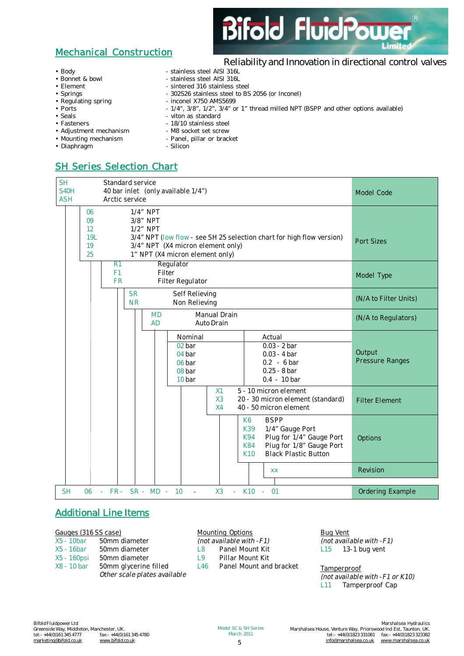

Reliability and Innovation in directional control valves

## Mechanical Construction

- Body **by a stainless steel AISI 316L**
- 
- 
- 
- 
- 
- 
- 
- Adjustment mechanism
- 
- Diaphragm Silicon
- SH Series Selection Chart

| <b>SH</b><br><b>S40H</b><br><b>ASH</b> |                                   | Standard service<br>40 bar inlet (only available 1/4")<br>Arctic service |                                                                                                                                                                                      |  |                        |                                                           |                            |                                                           |                                                                                                         | Model Code |                                  |
|----------------------------------------|-----------------------------------|--------------------------------------------------------------------------|--------------------------------------------------------------------------------------------------------------------------------------------------------------------------------------|--|------------------------|-----------------------------------------------------------|----------------------------|-----------------------------------------------------------|---------------------------------------------------------------------------------------------------------|------------|----------------------------------|
|                                        | 06<br>09<br>12<br>19L<br>19<br>25 |                                                                          | $1/4$ " NPT<br>3/8" NPT<br>1/2" NPT<br>3/4" NPT (low flow - see SH 25 selection chart for high flow version)<br>3/4" NPT (X4 micron element only)<br>1" NPT (X4 micron element only) |  |                        |                                                           |                            |                                                           |                                                                                                         |            | <b>Port Sizes</b>                |
|                                        |                                   | F <sub>1</sub>                                                           | Regulator<br>R1<br>Filter<br><b>FR</b><br>Filter Regulator                                                                                                                           |  |                        |                                                           |                            |                                                           |                                                                                                         |            | Model Type                       |
|                                        |                                   |                                                                          | <b>SR</b><br><b>NR</b>                                                                                                                                                               |  |                        | Self Relieving<br>Non Relieving                           |                            |                                                           |                                                                                                         |            | (N/A to Filter Units)            |
|                                        |                                   |                                                                          |                                                                                                                                                                                      |  | <b>MD</b><br><b>AD</b> |                                                           | Manual Drain<br>Auto Drain |                                                           |                                                                                                         |            | (N/A to Regulators)              |
|                                        |                                   |                                                                          |                                                                                                                                                                                      |  |                        | Nominal<br>02 bar<br>04 bar<br>06 bar<br>08 bar<br>10 bar |                            | Actual                                                    | $0.03 - 2 bar$<br>$0.03 - 4 bar$<br>$0.2 - 6 \,\text{bar}$<br>$0.25 - 8$ bar<br>$0.4 - 10 \,\text{bar}$ |            | Output<br><b>Pressure Ranges</b> |
|                                        |                                   |                                                                          |                                                                                                                                                                                      |  |                        |                                                           | X1<br>X3<br>X4             |                                                           | 5 - 10 micron element<br>20 - 30 micron element (standard)<br>40 - 50 micron element                    |            | <b>Filter Element</b>            |
|                                        |                                   |                                                                          |                                                                                                                                                                                      |  |                        |                                                           |                            | K6<br><b>BSPP</b><br>K39<br>K94<br>K84<br>K <sub>10</sub> | 1/4" Gauge Port<br>Plug for 1/4" Gauge Port<br>Plug for 1/8" Gauge Port<br><b>Black Plastic Button</b>  |            | Options                          |
|                                        |                                   |                                                                          |                                                                                                                                                                                      |  |                        |                                                           |                            | XX                                                        |                                                                                                         |            | Revision                         |
| <b>SH</b>                              | 06                                | $-$ FR $-$ SR $-$ MD $-$ 10                                              |                                                                                                                                                                                      |  |                        | $\sim$                                                    | X3<br>a.                   | $K10 - 01$                                                |                                                                                                         |            | Ordering Example                 |

### Additional Line Items

#### Gauges (316 SS case)

- X5 10bar 50mm diameter
- X5 16bar 50mm diameter
- X5 160psi 50mm diameter
- X8 10 bar 50mm glycerine filled *Other scale plates available*

#### Mounting Options

*(not available with -F1)*

- L8 Panel Mount Kit
- L9 Pillar Mount Kit

L46 Panel Mount and bracket

#### Bug Vent *(not available with -F1)*  $L15$  13-1 bug vent

**Tamperproof** *(not available with -F1 or K10)* L11 Tamperproof Cap

- Bonnet & bowl stainless steel AISI 316L • Element - sintered 316 stainless steel • Springs - 302S26 stainless steel to BS 2056 (or Inconel)<br>• Requlating spring - 302S26 stainless steel to BS 2056 (or Inconel)  $-$  inconel X750 AMS5699
- Ports 1/4", 3/8", 1/2", 3/4" or 1" thread milled NPT (BSPP and other options available)
- Seals **Contract Contract Contract Contract Contract Contract Contract Contract Contract Contract Contract Contract Contract Contract Contract Contract Contract Contract Contract Contract Contract Contract Contract Contra** 
	-
- Fasteners 18/10 stainless steel<br>• Adjustment mechanism M8 socket set screw
- Mounting mechanism Panel, pillar or bracket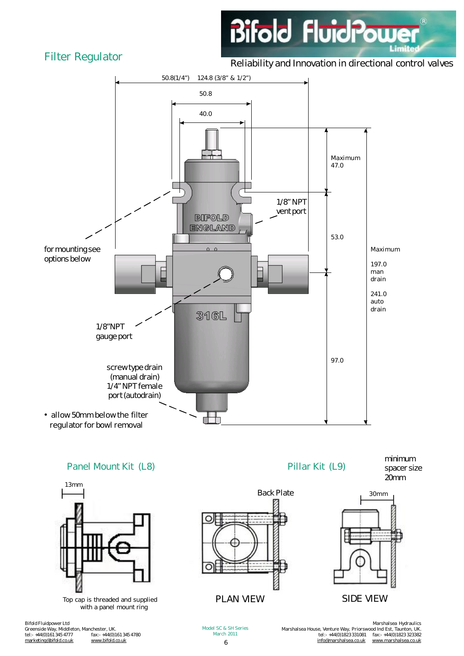## Filter Regulator

Reliability and Innovation in directional control valves

**Bifold FluidPowd** 

 $\widehat{\mathcal{R}}$ 

Lim



Greenside Way, Middleton, Manchester, UK. tel:- +44(0)161 345 4777 fax:- +44(0)161 345 4780 [marketing@bifold.co.uk](mailto:marketing@bifold.co.uk) [www.bifold.co.uk](http://www.bifold.co.uk)

6 Model SC & SH Series March 2011

Marshalsea Hydraulics Marshalsea House, Venture Way, Priorswood Ind Est, Taunton, UK. tel:- +44(0)1823 331081 fax:- +44(0)1823 323382 [info@marshalsea.co.uk](mailto:info@marshalsea.co.uk) [www.marshalsea.co.uk](http://www.marshalsea.co.uk)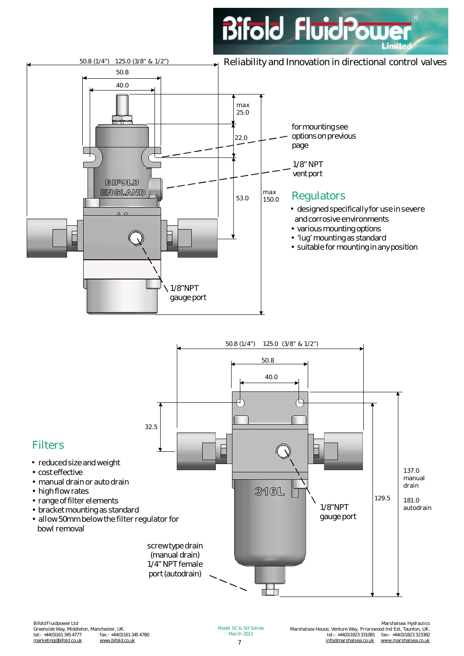